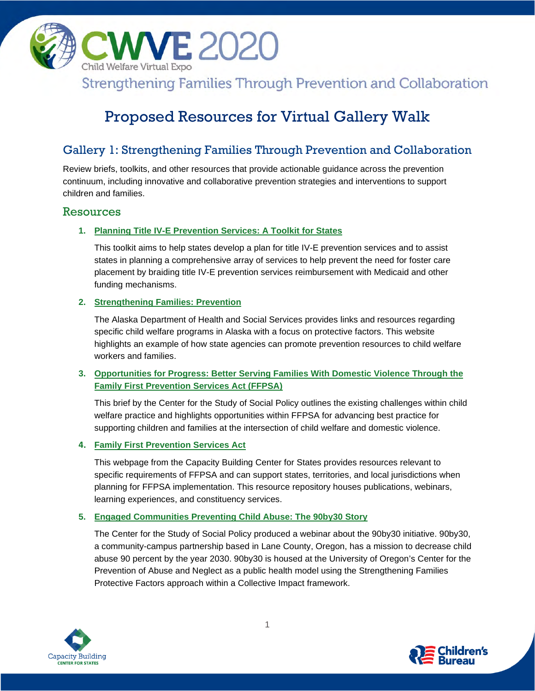

# Proposed Resources for Virtual Gallery Walk

# Gallery 1: Strengthening Families Through Prevention and Collaboration

Review briefs, toolkits, and other resources that provide actionable guidance across the prevention continuum, including innovative and collaborative prevention strategies and interventions to support children and families.

# Resources

### **1. [Planning Title IV-E Prevention Services: A Toolkit for States](https://aspe.hhs.gov/IV-E-prevention-toolkit)**

This toolkit aims to help states develop a plan for title IV-E prevention services and to assist states in planning a comprehensive array of services to help prevent the need for foster care placement by braiding title IV-E prevention services reimbursement with Medicaid and other funding mechanisms.

### **2. [Strengthening Families: Prevention](http://dhss.alaska.gov/ocs/Pages/families/model.aspx)**

The Alaska Department of Health and Social Services provides links and resources regarding specific child welfare programs in Alaska with a focus on protective factors. This website highlights an example of how state agencies can promote prevention resources to child welfare workers and families.

# **3. [Opportunities for Progress: Better Serving Families With Domestic](https://cssp.org/resource/opportunities-for-progress-domestic-violence-ffpsa/) Violence Through the [Family First Prevention Services Act \(FFPSA\)](https://cssp.org/resource/opportunities-for-progress-domestic-violence-ffpsa/)**

This brief by the Center for the Study of Social Policy outlines the existing challenges within child welfare practice and highlights opportunities within FFPSA for advancing best practice for supporting children and families at the intersection of child welfare and domestic violence.

#### **4. [Family First Prevention](https://capacity.childwelfare.gov/states/about-states/cb/family-first-prevention/) Services Act**

This webpage from the Capacity Building Center for States provides resources relevant to specific requirements of FFPSA and can support states, territories, and local jurisdictions when planning for FFPSA implementation. This resource repository houses publications, webinars, learning experiences, and constituency services.

# **5. Engaged [Communities Preventing Child Abuse: The 90by30 Story](https://cssp.org/resource/engaged-communities-preventing-child-abuse-the-90by30-story/)**

The Center for the Study of Social Policy produced a webinar about the 90by30 initiative. 90by30, a community-campus partnership based in Lane County, Oregon, has a mission to decrease child abuse 90 percent by the year 2030. 90by30 is housed at the University of Oregon's Center for the Prevention of Abuse and Neglect as a public health model using the Strengthening Families Protective Factors approach within a Collective Impact framework.



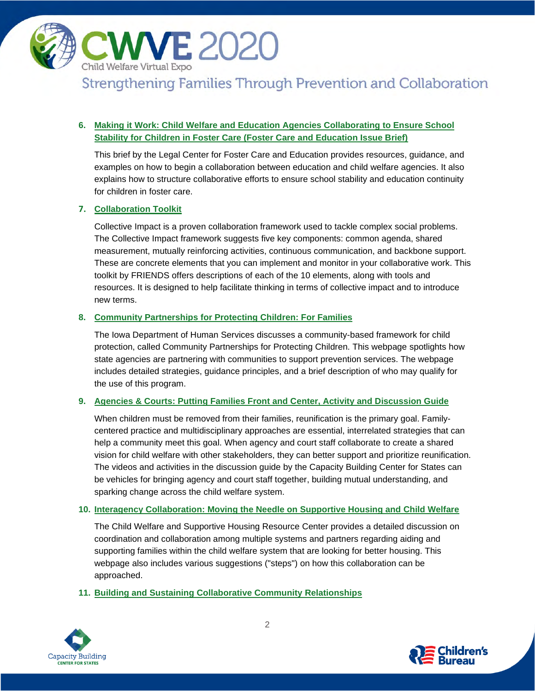

# **6. [Making it Work: Child Welfare and Education Agencies Collaborating to Ensure School](http://www.fostercareandeducation.org/DesktopModules/Bring2mind/DMX/Download.aspx?EntryId=1412&Command=Core_Download&method=inline&PortalId=0&TabId=124)  [Stability for Children in Foster Care \(Foster Care and](http://www.fostercareandeducation.org/DesktopModules/Bring2mind/DMX/Download.aspx?EntryId=1412&Command=Core_Download&method=inline&PortalId=0&TabId=124) Education Issue Brief)**

This brief by the Legal Center for Foster Care and Education provides resources, guidance, and examples on how to begin a collaboration between education and child welfare agencies. It also explains how to structure collaborative efforts to ensure school stability and education continuity for children in foster care.

# **7. [Collaboration Toolkit](https://friendsnrc.org/friends-resources/collaboration-toolkit/)**

Collective Impact is a proven collaboration framework used to tackle complex social problems. The Collective Impact framework suggests five key components: common agenda, shared measurement, mutually reinforcing activities, continuous communication, and backbone support. These are concrete elements that you can implement and monitor in your collaborative work. This toolkit by FRIENDS offers descriptions of each of the 10 elements, along with tools and resources. It is designed to help facilitate thinking in terms of collective impact and to introduce new terms.

### **8. [Community Partnerships for Protecting Children: For Families](https://dhs.iowa.gov/child-welfare/CPPCfamilies)**

The Iowa Department of Human Services discusses a community-based framework for child protection, called Community Partnerships for Protecting Children. This webpage spotlights how state agencies are partnering with communities to support prevention services. The webpage includes detailed strategies, guidance principles, and a brief description of who may qualify for the use of this program.

# **9. [Agencies & Courts: Putting Families Front and Center, Activity and Discussion Guide](https://capacity.childwelfare.gov/pubPDFs/cbc/nfcm-agencies-courts-discussion-cp-00186.pdf)**

When children must be removed from their families, reunification is the primary goal. Familycentered practice and multidisciplinary approaches are essential, interrelated strategies that can help a community meet this goal. When agency and court staff collaborate to create a shared vision for child welfare with other stakeholders, they can better support and prioritize reunification. The videos and activities in the discussion guide by the Capacity Building Center for States can be vehicles for bringing agency and court staff together, building mutual understanding, and sparking change across the child welfare system.

#### **10. [Interagency Collaboration: Moving the Needle on Supportive Housing and](http://www.csh.org/wp-content/uploads/2017/12/SH-and-CW_Collaboration-DRAFT-12_15_17.pdf) Child Welfare**

The Child Welfare and Supportive Housing Resource Center provides a detailed discussion on coordination and collaboration among multiple systems and partners regarding aiding and supporting families within the child welfare system that are looking for better housing. This webpage also includes various suggestions ("steps") on how this collaboration can be approached.

**11. [Building and Sustaining Collaborative Community Relationships](https://capacity.childwelfare.gov/states/resources/building-sustaining-collaborative-relationships/)**



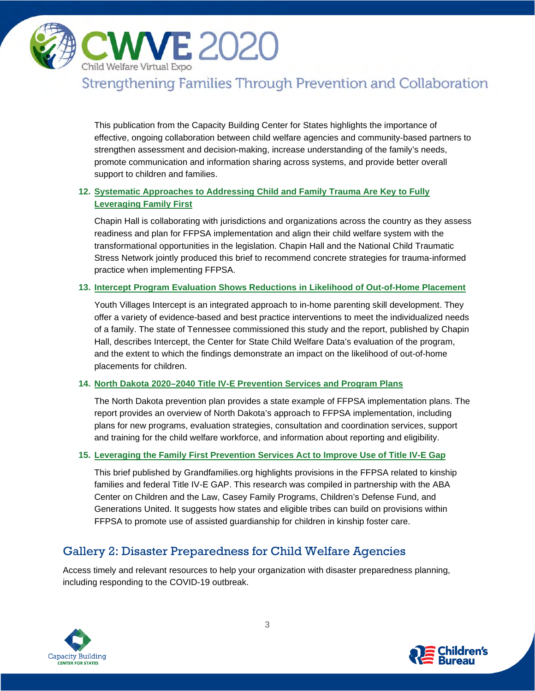

This publication from the Capacity Building Center for States highlights the importance of effective, ongoing collaboration between child welfare agencies and community-based partners to strengthen assessment and decision-making, increase understanding of the family's needs, promote communication and information sharing across systems, and provide better overall support to children and families.

# **12. [Systematic Approaches to Addressing Child and Family Trauma Are Key to Fully](https://www.chapinhall.org/research/systemic-approaches-to-addressing-child-and-family-trauma-are-key-to-fully-leveraging-family-first/)  [Leveraging Family First](https://www.chapinhall.org/research/systemic-approaches-to-addressing-child-and-family-trauma-are-key-to-fully-leveraging-family-first/)**

Chapin Hall is collaborating with jurisdictions and organizations across the country as they assess readiness and plan for FFPSA implementation and align their child welfare system with the transformational opportunities in the legislation. Chapin Hall and the National Child Traumatic Stress Network jointly produced this brief to recommend concrete strategies for trauma-informed practice when implementing FFPSA.

### **13. [Intercept Program Evaluation Shows Reductions in Likelihood of Out-of-Home Placement](https://www.chapinhall.org/research/intercept-program-evaluation/)**

Youth Villages Intercept is an integrated approach to in-home parenting skill development. They offer a variety of evidence-based and best practice interventions to meet the individualized needs of a family. The state of Tennessee commissioned this study and the report, published by Chapin Hall, describes Intercept, the Center for State Child Welfare Data's evaluation of the program, and the extent to which the findings demonstrate an impact on the likelihood of out-of-home placements for children.

#### **14. [North Dakota 2020–2040 Title IV-E Prevention Services and Program Plans](http://www.nd.gov/dhs/services/childfamily/docs/2020-04-28-draft-iv-e-prevention-services-plan.pdf)**

The North Dakota prevention plan provides a state example of FFPSA implementation plans. The report provides an overview of North Dakota's approach to FFPSA implementation, including plans for new programs, evaluation strategies, consultation and coordination services, support and training for the child welfare workforce, and information about reporting and eligibility.

#### **15. [Leveraging the Family First Prevention Services Act to Improve Use of Title IV-E Gap](http://www.grandfamilies.org/Portals/0/Documents/FFPSA/Title%20IV-E%20GAP%20Brief.pdf)**

This brief published by Grandfamilies.org highlights provisions in the FFPSA related to kinship families and federal Title IV-E GAP. This research was compiled in partnership with the ABA Center on Children and the Law, Casey Family Programs, Children's Defense Fund, and Generations United. It suggests how states and eligible tribes can build on provisions within FFPSA to promote use of assisted guardianship for children in kinship foster care.

# Gallery 2: Disaster Preparedness for Child Welfare Agencies

Access timely and relevant resources to help your organization with disaster preparedness planning, including responding to the COVID-19 outbreak.



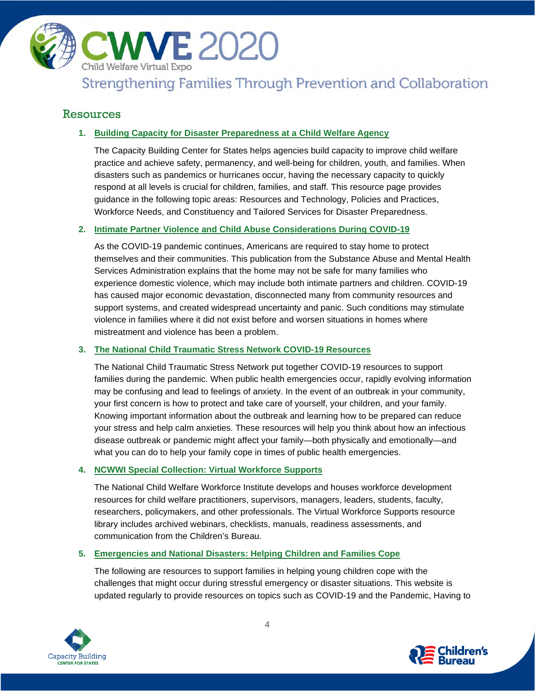

# Resources

# **1. [Building Capacity for Disaster Preparedness at a Child Welfare Agency](https://capacity.childwelfare.gov/states/disaster-preparedness/)**

The Capacity Building Center for States helps agencies build capacity to improve child welfare practice and achieve safety, permanency, and well-being for children, youth, and families. When disasters such as pandemics or hurricanes occur, having the necessary capacity to quickly respond at all levels is crucial for children, families, and staff. This resource page provides guidance in the following topic areas: Resources and Technology, Policies and Practices, Workforce Needs, and Constituency and Tailored Services for Disaster Preparedness.

### **2. [Intimate Partner Violence and Child Abuse Considerations During COVID-19](https://www.samhsa.gov/sites/default/files/social-distancing-domestic-violence.pdf)**

As the COVID-19 pandemic continues, Americans are required to stay home to protect themselves and their communities. This publication from the Substance Abuse and Mental Health Services Administration explains that the home may not be safe for many families who experience domestic violence, which may include both intimate partners and children. COVID-19 has caused major economic devastation, disconnected many from community resources and support systems, and created widespread uncertainty and panic. Such conditions may stimulate violence in families where it did not exist before and worsen situations in homes where mistreatment and violence has been a problem.

# **3. [The National Child Traumatic Stress Network COVID-19 Resources](https://www.nctsn.org/what-is-child-trauma/trauma-types/disasters/pandemic-resources)**

The National Child Traumatic Stress Network put together COVID-19 resources to support families during the pandemic. When public health emergencies occur, rapidly evolving information may be confusing and lead to feelings of anxiety. In the event of an outbreak in your community, your first concern is how to protect and take care of yourself, your children, and your family. Knowing important information about the outbreak and learning how to be prepared can reduce your stress and help calm anxieties. These resources will help you think about how an infectious disease outbreak or pandemic might affect your family—both physically and emotionally—and what you can do to help your family cope in times of public health emergencies.

# **4. [NCWWI Special Collection: Virtual Workforce Supports](https://ncwwi.org/index.php/resourcemenu/virtual-workforce-supports)**

The National Child Welfare Workforce Institute develops and houses workforce development resources for child welfare practitioners, supervisors, managers, leaders, students, faculty, researchers, policymakers, and other professionals. The Virtual Workforce Supports resource library includes archived webinars, checklists, manuals, readiness assessments, and communication from the Children's Bureau.

#### **5. [Emergencies and National Disasters: Helping Children and Families Cope](https://challengingbehavior.cbcs.usf.edu/emergency/index.html)**

The following are resources to support families in helping young children cope with the challenges that might occur during stressful emergency or disaster situations. This website is updated regularly to provide resources on topics such as COVID-19 and the Pandemic, Having to



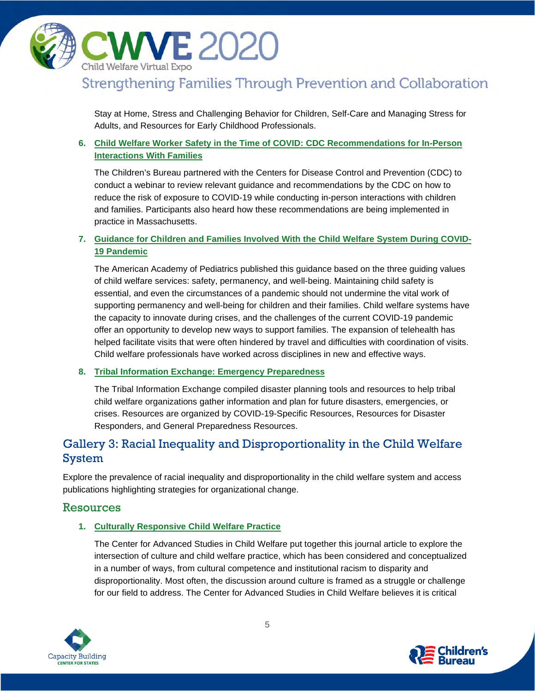

Stay at Home, Stress and Challenging Behavior for Children, Self-Care and Managing Stress for Adults, and Resources for Early Childhood Professionals.

# **6. [Child Welfare Worker Safety in the Time of COVID: CDC Recommendations for In-Person](https://www.acf.hhs.gov/cb/resource/covid-worker-safety)  [Interactions With Families](https://www.acf.hhs.gov/cb/resource/covid-worker-safety)**

The Children's Bureau partnered with the Centers for Disease Control and Prevention (CDC) to conduct a webinar to review relevant guidance and recommendations by the CDC on how to reduce the risk of exposure to COVID-19 while conducting in-person interactions with children and families. Participants also heard how these recommendations are being implemented in practice in Massachusetts.

# **7. Guidance for Children [and Families Involved With the Child Welfare System During COVID-](https://services.aap.org/en/pages/2019-novel-coronavirus-covid-19-infections/clinical-guidance/guidance-for-children-and-families-involved-with-the-child-welfare-system-during-the-covid-19-pandemic/)[19 Pandemic](https://services.aap.org/en/pages/2019-novel-coronavirus-covid-19-infections/clinical-guidance/guidance-for-children-and-families-involved-with-the-child-welfare-system-during-the-covid-19-pandemic/)**

The American Academy of Pediatrics published this guidance based on the three guiding values of child welfare services: safety, permanency, and well-being. Maintaining child safety is essential, and even the circumstances of a pandemic should not undermine the vital work of supporting permanency and well-being for children and their families. Child welfare systems have the capacity to innovate during crises, and the challenges of the current COVID-19 pandemic offer an opportunity to develop new ways to support families. The expansion of telehealth has helped facilitate visits that were often hindered by travel and difficulties with coordination of visits. Child welfare professionals have worked across disciplines in new and effective ways.

#### **8. [Tribal Information Exchange: Emergency Preparedness](https://tribalinformationexchange.org/index.php/emergency-preparedness/)**

The Tribal Information Exchange compiled disaster planning tools and resources to help tribal child welfare organizations gather information and plan for future disasters, emergencies, or crises. Resources are organized by COVID-19-Specific Resources, Resources for Disaster Responders, and General Preparedness Resources.

# Gallery 3: Racial Inequality and Disproportionality in the Child Welfare System

Explore the prevalence of racial inequality and disproportionality in the child welfare system and access publications highlighting strategies for organizational change.

# Resources

# **1. [Culturally Responsive Child Welfare Practice](http://cascw.umn.edu/wp-content/uploads/2015/03/CW360-Winter2015.pdf)**

The Center for Advanced Studies in Child Welfare put together this journal article to explore the intersection of culture and child welfare practice, which has been considered and conceptualized in a number of ways, from cultural competence and institutional racism to disparity and disproportionality. Most often, the discussion around culture is framed as a struggle or challenge for our field to address. The Center for Advanced Studies in Child Welfare believes it is critical



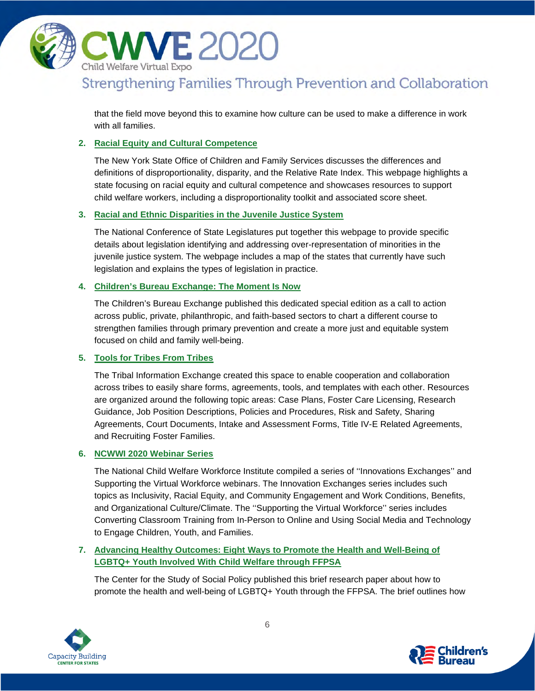

that the field move beyond this to examine how culture can be used to make a difference in work with all families.

### **2. Racial Equity and [Cultural Competence](https://ocfs.ny.gov/main/recc/Disproportionality_and_Disparity.asp)**

The New York State Office of Children and Family Services discusses the differences and definitions of disproportionality, disparity, and the Relative Rate Index. This webpage highlights a state focusing on racial equity and cultural competence and showcases resources to support child welfare workers, including a disproportionality toolkit and associated score sheet.

#### **3. [Racial and Ethnic Disparities in the Juvenile Justice System](https://www.ncsl.org/research/civil-and-criminal-justice/racial-and-ethnic-disparities-in-the-juvenile-justice-system.aspx)**

The National Conference of State Legislatures put together this webpage to provide specific details about legislation identifying and addressing over-representation of minorities in the juvenile justice system. The webpage includes a map of the states that currently have such legislation and explains the types of legislation in practice.

#### **4. [Children's Bureau Exchange: The Moment Is Now](https://cbexpress.acf.hhs.gov/)**

The Children's Bureau Exchange published this dedicated special edition as a call to action across public, private, philanthropic, and faith-based sectors to chart a different course to strengthen families through primary prevention and create a more just and equitable system focused on child and family well-being.

#### **5. [Tools for Tribes From Tribes](https://tribalinformationexchange.org/index.php/tools/)**

The Tribal Information Exchange created this space to enable cooperation and collaboration across tribes to easily share forms, agreements, tools, and templates with each other. Resources are organized around the following topic areas: Case Plans, Foster Care Licensing, Research Guidance, Job Position Descriptions, Policies and Procedures, Risk and Safety, Sharing Agreements, Court Documents, Intake and Assessment Forms, Title IV-E Related Agreements, and Recruiting Foster Families.

#### **6. [NCWWI 2020 Webinar Series](https://ncwwi.org/index.php/webinar/national-webinar-series)**

The National Child Welfare Workforce Institute compiled a series of ''Innovations Exchanges'' and Supporting the Virtual Workforce webinars. The Innovation Exchanges series includes such topics as Inclusivity, Racial Equity, and Community Engagement and Work Conditions, Benefits, and Organizational Culture/Climate. The ''Supporting the Virtual Workforce'' series includes Converting Classroom Training from In-Person to Online and Using Social Media and Technology to Engage Children, Youth, and Families.

### **7. [Advancing Healthy Outcomes: Eight Ways to Promote the Health and Well-Being of](https://cssp.org/resource/advancing-healthy-outcomes-eight-ways-to-promote-the-health-and-well-being-of-lgbtq-youth-involved-with-child-welfare/)  [LGBTQ+ Youth Involved With Child Welfare through FFPSA](https://cssp.org/resource/advancing-healthy-outcomes-eight-ways-to-promote-the-health-and-well-being-of-lgbtq-youth-involved-with-child-welfare/)**

The Center for the Study of Social Policy published this brief research paper about how to promote the health and well-being of LGBTQ+ Youth through the FFPSA. The brief outlines how